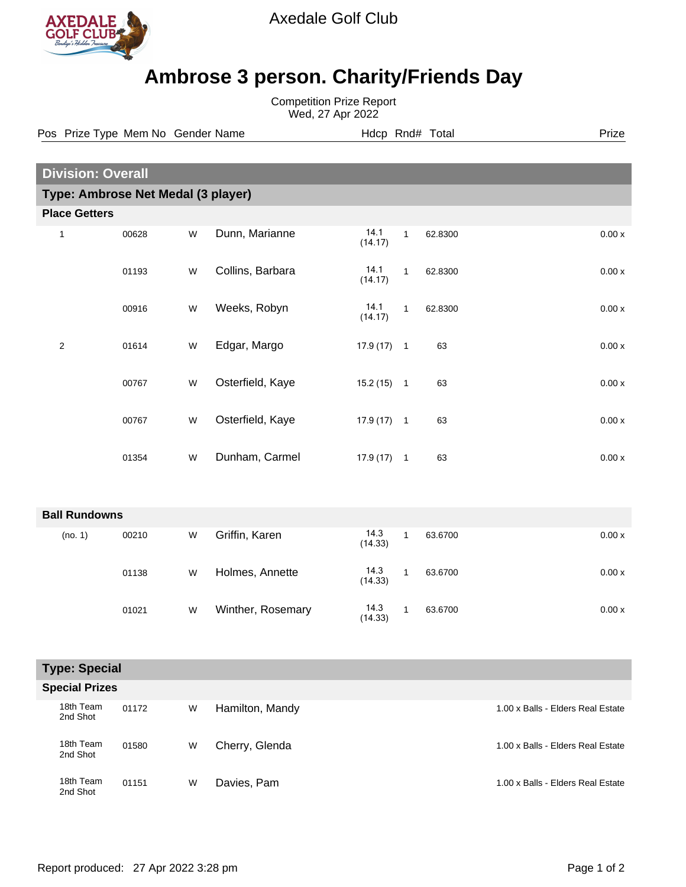

Axedale Golf Club

## **Ambrose 3 person. Charity/Friends Day**

Competition Prize Report Wed, 27 Apr 2022

Pos Prize Type Mem No Gender Name **Hdcp Rnd# Total** Prize Prize

| <b>Division: Overall</b>           |       |           |                   |                 |              |         |         |
|------------------------------------|-------|-----------|-------------------|-----------------|--------------|---------|---------|
| Type: Ambrose Net Medal (3 player) |       |           |                   |                 |              |         |         |
| <b>Place Getters</b>               |       |           |                   |                 |              |         |         |
| $\mathbf{1}$                       | 00628 | W         | Dunn, Marianne    | 14.1<br>(14.17) | $\mathbf{1}$ | 62.8300 | 0.00x   |
|                                    | 01193 | W         | Collins, Barbara  | 14.1<br>(14.17) | $\mathbf{1}$ | 62.8300 | 0.00 x  |
|                                    | 00916 | ${\sf W}$ | Weeks, Robyn      | 14.1<br>(14.17) | $\mathbf{1}$ | 62.8300 | $0.00x$ |
| $\overline{\mathbf{c}}$            | 01614 | W         | Edgar, Margo      | $17.9(17)$ 1    |              | 63      | $0.00x$ |
|                                    | 00767 | W         | Osterfield, Kaye  | $15.2(15)$ 1    |              | 63      | 0.00x   |
|                                    | 00767 | W         | Osterfield, Kaye  | $17.9(17)$ 1    |              | 63      | 0.00 x  |
|                                    | 01354 | W         | Dunham, Carmel    | $17.9(17)$ 1    |              | 63      | $0.00x$ |
| <b>Ball Rundowns</b>               |       |           |                   |                 |              |         |         |
| (no. 1)                            | 00210 | ${\sf W}$ | Griffin, Karen    | 14.3<br>(14.33) | $\mathbf{1}$ | 63.6700 | 0.00x   |
|                                    | 01138 | W         | Holmes, Annette   | 14.3<br>(14.33) | $\mathbf{1}$ | 63.6700 | 0.00x   |
|                                    | 01021 | W         | Winther, Rosemary | 14.3<br>(14.33) | $\mathbf{1}$ | 63.6700 | 0.00x   |
| Tyno: Coocial                      |       |           |                   |                 |              |         |         |

| i ype: Special        |  |
|-----------------------|--|
| <b>Special Prizes</b> |  |

| JULUI I ILLUJ |                       |       |   |                 |                                   |
|---------------|-----------------------|-------|---|-----------------|-----------------------------------|
|               | 18th Team<br>2nd Shot | 01172 | W | Hamilton, Mandy | 1.00 x Balls - Elders Real Estate |
|               | 18th Team<br>2nd Shot | 01580 | W | Cherry, Glenda  | 1.00 x Balls - Elders Real Estate |
|               | 18th Team<br>2nd Shot | 01151 | W | Davies, Pam     | 1.00 x Balls - Elders Real Estate |